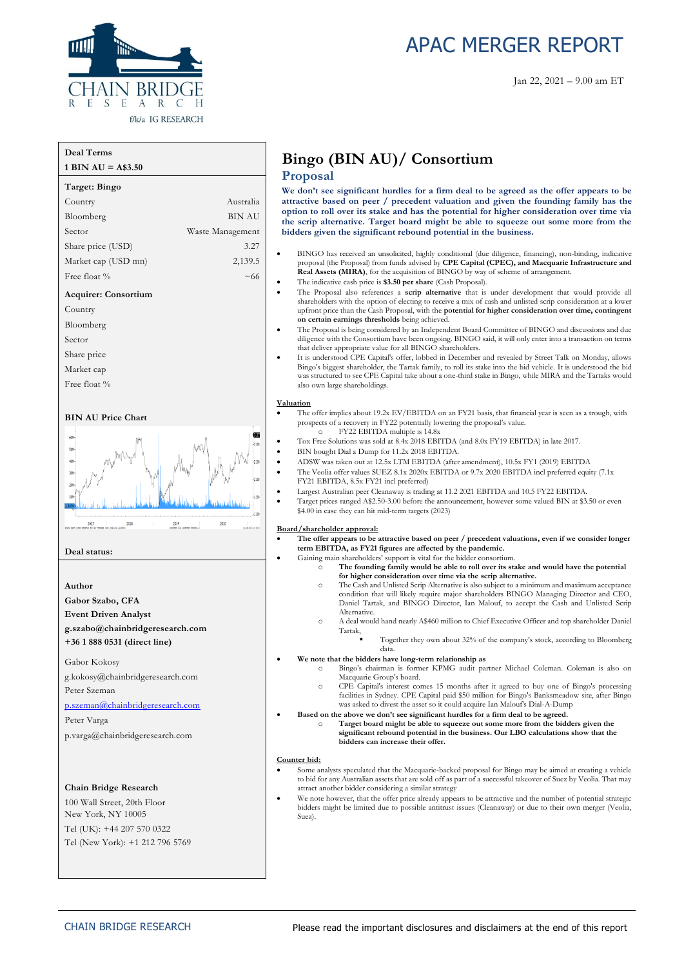

# APAC MERGER REPORT

#### **Deal Terms**

| $1 \text{ BIN AU} = \text{A$3.50}$ |                  |
|------------------------------------|------------------|
| Target: Bingo                      |                  |
| Country                            | Australia        |
| Bloomberg                          | BIN AU           |
| Sector                             | Waste Management |
| Share price (USD)                  | 3.27             |
| Market cap (USD mn)                | 2,139.5          |
| Free float %                       | $~1$ 66          |
| <b>Acquirer: Consortium</b>        |                  |
| Country                            |                  |
| Bloomberg                          |                  |
| Sector                             |                  |
| Share price                        |                  |
| Market cap                         |                  |
| Free float %                       |                  |

#### **BIN AU Price Chart**



#### **Deal status:**

#### **Author**

**Gabor Szabo, CFA Event Driven Analyst g.szabo@chainbridgeresearch.com**

**+36 1 888 0531 (direct line)**

Gabor Kokosy g.kokosy@chainbridgeresearch.com Peter Szeman

[p.szeman@chainbridgeresearch.com](mailto:p.szeman@chainbridgeresearch.com)

Peter Varga p.varga@chainbridgeresearch.com

#### **Chain Bridge Research**

100 Wall Street, 20th Floor New York, NY 10005 Tel (UK): +44 207 570 0322 Tel (New York): +1 212 796 5769

# **Bingo (BIN AU)/ Consortium**

#### **Proposal**

**We don't see significant hurdles for a firm deal to be agreed as the offer appears to be attractive based on peer / precedent valuation and given the founding family has the option to roll over its stake and has the potential for higher consideration over time via the scrip alternative. Target board might be able to squeeze out some more from the bidders given the significant rebound potential in the business.**

- BINGO has received an unsolicited, highly conditional (due diligence, financing), non-binding, indicative proposal (the Proposal) from funds advised by **CPE Capital (CPEC), and Macquarie Infrastructure and Real Assets (MIRA)**, for the acquisition of BINGO by way of scheme of arrangement.
- The indicative cash price is **\$3.50 per share** (Cash Proposal).
- The Proposal also references a **scrip alternative** that is under development that would provide all shareholders with the option of electing to receive a mix of cash and unlisted scrip consideration at a lower upfront price than the Cash Proposal, with the **potential for higher consideration over time, contingent on certain earnings thresholds** being achieved.
- The Proposal is being considered by an Independent Board Committee of BINGO and discussions and due diligence with the Consortium have been ongoing. BINGO said, it will only enter into a transaction on terms that deliver appropriate value for all BINGO shareholders.
- It is understood CPE Capital's offer, lobbed in December and revealed by Street Talk on Monday, allows Bingo's biggest shareholder, the Tartak family, to roll its stake into the bid vehicle. It is understood the bid was structured to see CPE Capital take about a one-third stake in Bingo, while MIRA and the Tartaks would also own large shareholdings.

#### **Valuation**

- The offer implies about 19.2x EV/EBITDA on an FY21 basis, that financial year is seen as a trough, with prospects of a recovery in FY22 potentially lowering the proposal's value. FY22 EBITDA multiple is 14.8x
	- Tox Free Solutions was sold at 8.4x 2018 EBITDA (and 8.0x FY19 EBITDA) in late 2017.
- BIN bought Dial a Dump for 11.2x 2018 EBITDA.
- ADSW was taken out at 12.5x LTM EBITDA (after amendment), 10.5x FY1 (2019) EBITDA
- The Veolia offer values SUEZ 8.1x 2020x EBITDA or 9.7x 2020 EBITDA incl preferred equity (7.1x FY21 EBITDA, 8.5x FY21 incl preferred)
	- Largest Australian peer Cleanaway is trading at 11.2 2021 EBITDA and 10.5 FY22 EBITDA.
	- Target prices ranged A\$2.50-3.00 before the announcement, however some valued BIN at \$3.50 or even \$4.00 in case they can hit mid-term targets (2023)

#### **Board/shareholder approval:**

- **The offer appears to be attractive based on peer / precedent valuations, even if we consider longer term EBITDA, as FY21 figures are affected by the pandemic.**
- Gaining main shareholders' support is vital for the bidder consortium.
	- o **The founding family would be able to roll over its stake and would have the potential for higher consideration over time via the scrip alternative.**
	- o The Cash and Unlisted Scrip Alternative is also subject to a minimum and maximum acceptance condition that will likely require major shareholders BINGO Managing Director and CEO, Daniel Tartak, and BINGO Director, Ian Malouf, to accept the Cash and Unlisted Scrip Alternative.
	- o A deal would hand nearly A\$460 million to Chief Executive Officer and top shareholder Daniel Tartak,
		- Together they own about 32% of the company's stock, according to Bloomberg data.
- **We note that the bidders have long-term relationship as** 
	- o Bingo's chairman is former KPMG audit partner Michael Coleman. Coleman is also on Macquarie Group's board.
	- o CPE Capital's interest comes 15 months after it agreed to buy one of Bingo's processing facilities in Sydney. CPE Capital paid \$50 million for Bingo's Banksmeadow site, after Bingo was asked to divest the asset so it could acquire Ian Malouf's Dial-A-Dump
- Based on the above we don't see significant hurdles for a firm deal to be agreed.
	- o **Target board might be able to squeeze out some more from the bidders given the significant rebound potential in the business. Our LBO calculations show that the bidders can increase their offer.**

#### **Counter bid:**

- Some analysts speculated that the Macquarie-backed proposal for Bingo may be aimed at creating a vehicle to bid for any Australian assets that are sold off as part of a successful takeover of Suez by Veolia. That may attract another bidder considering a similar strategy
- We note however, that the offer price already appears to be attractive and the number of potential strategic bidders might be limited due to possible antitrust issues (Cleanaway) or due to their own merger (Veolia, Suez).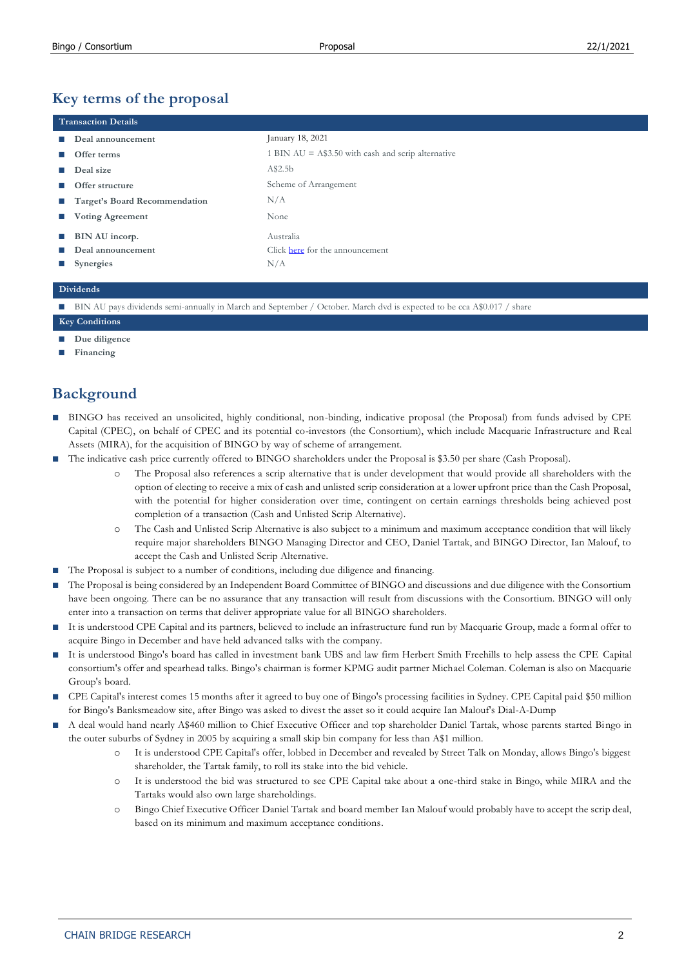# **Key terms of the proposal**

| <b>Transaction Details</b>    |                                                     |  |  |  |
|-------------------------------|-----------------------------------------------------|--|--|--|
| Deal announcement             | January 18, 2021                                    |  |  |  |
| Offer terms                   | 1 BIN $AU = A$3.50$ with cash and scrip alternative |  |  |  |
| Deal size                     | A\$2.5b                                             |  |  |  |
| Offer structure               | Scheme of Arrangement                               |  |  |  |
| Target's Board Recommendation | N/A                                                 |  |  |  |
| <b>Voting Agreement</b>       | None                                                |  |  |  |
| BIN AU incorp.                | Australia                                           |  |  |  |
| Deal announcement             | Click here for the announcement                     |  |  |  |
| <b>Synergies</b>              | N/A                                                 |  |  |  |

### **Dividends**

■ BIN AU pays dividends semi-annually in March and September / October. March dvd is expected to be cca A\$0.017 / share

## **Key Conditions**

- **Due diligence**
- **■ Financing**

# **Background**

- BINGO has received an unsolicited, highly conditional, non-binding, indicative proposal (the Proposal) from funds advised by CPE Capital (CPEC), on behalf of CPEC and its potential co-investors (the Consortium), which include Macquarie Infrastructure and Real Assets (MIRA), for the acquisition of BINGO by way of scheme of arrangement.
- The indicative cash price currently offered to BINGO shareholders under the Proposal is \$3.50 per share (Cash Proposal).
	- The Proposal also references a scrip alternative that is under development that would provide all shareholders with the option of electing to receive a mix of cash and unlisted scrip consideration at a lower upfront price than the Cash Proposal, with the potential for higher consideration over time, contingent on certain earnings thresholds being achieved post completion of a transaction (Cash and Unlisted Scrip Alternative).
	- o The Cash and Unlisted Scrip Alternative is also subject to a minimum and maximum acceptance condition that will likely require major shareholders BINGO Managing Director and CEO, Daniel Tartak, and BINGO Director, Ian Malouf, to accept the Cash and Unlisted Scrip Alternative.
- The Proposal is subject to a number of conditions, including due diligence and financing.
- The Proposal is being considered by an Independent Board Committee of BINGO and discussions and due diligence with the Consortium have been ongoing. There can be no assurance that any transaction will result from discussions with the Consortium. BINGO will only enter into a transaction on terms that deliver appropriate value for all BINGO shareholders.
- It is understood CPE Capital and its partners, believed to include an infrastructure fund run by Macquarie Group, made a formal offer to acquire Bingo in December and have held advanced talks with the company.
- **■** It is understood Bingo's board has called in investment bank UBS and law firm Herbert Smith Freehills to help assess the CPE Capital consortium's offer and spearhead talks. Bingo's chairman is former KPMG audit partner Michael Coleman. Coleman is also on Macquarie Group's board.
- **■** CPE Capital's interest comes 15 months after it agreed to buy one of Bingo's processing facilities in Sydney. CPE Capital paid \$50 million for Bingo's Banksmeadow site, after Bingo was asked to divest the asset so it could acquire Ian Malouf's Dial-A-Dump
- **■** A deal would hand nearly A\$460 million to Chief Executive Officer and top shareholder Daniel Tartak, whose parents started Bingo in the outer suburbs of Sydney in 2005 by acquiring a small skip bin company for less than A\$1 million.
	- o It is understood CPE Capital's offer, lobbed in December and revealed by Street Talk on Monday, allows Bingo's biggest shareholder, the Tartak family, to roll its stake into the bid vehicle.
	- o It is understood the bid was structured to see CPE Capital take about a one-third stake in Bingo, while MIRA and the Tartaks would also own large shareholdings.
	- o Bingo Chief Executive Officer Daniel Tartak and board member Ian Malouf would probably have to accept the scrip deal, based on its minimum and maximum acceptance conditions.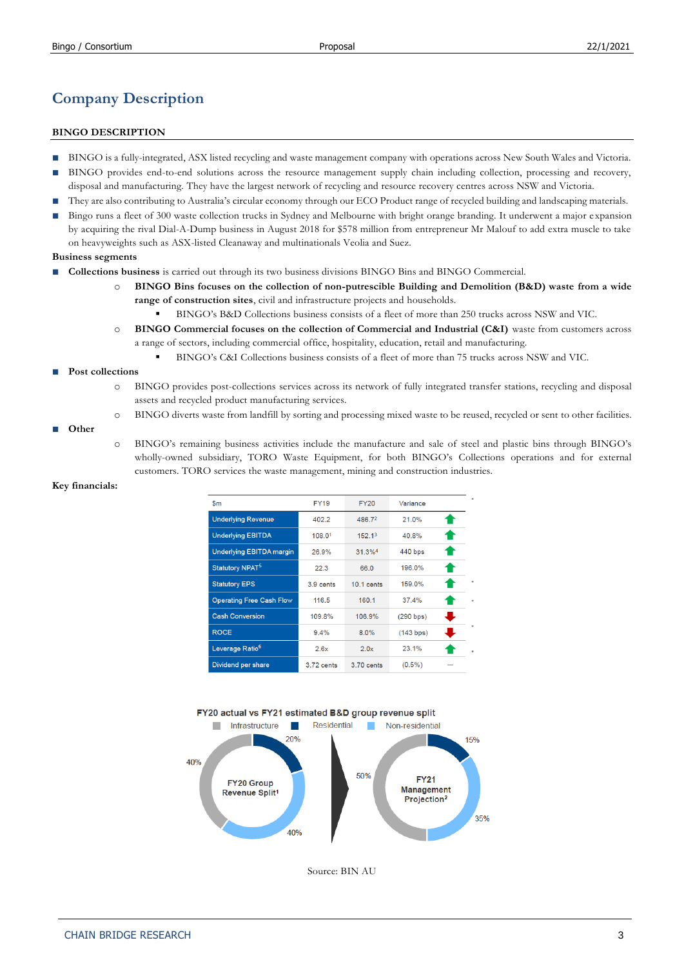# **Company Description**

### **BINGO DESCRIPTION**

- BINGO is a fully-integrated, ASX listed recycling and waste management company with operations across New South Wales and Victoria.
- BINGO provides end-to-end solutions across the resource management supply chain including collection, processing and recovery, disposal and manufacturing. They have the largest network of recycling and resource recovery centres across NSW and Victoria.
- They are also contributing to Australia's circular economy through our ECO Product range of recycled building and landscaping materials.
- Bingo runs a fleet of 300 waste collection trucks in Sydney and Melbourne with bright orange branding. It underwent a major expansion by acquiring the rival Dial-A-Dump business in August 2018 for \$578 million from entrepreneur Mr Malouf to add extra muscle to take on heavyweights such as ASX-listed Cleanaway and multinationals Veolia and Suez.

#### **Business segments**

- **Collections business** is carried out through its two business divisions BINGO Bins and BINGO Commercial.
	- o **BINGO Bins focuses on the collection of non-putrescible Building and Demolition (B&D) waste from a wide range of construction sites**, civil and infrastructure projects and households.
		- BINGO's B&D Collections business consists of a fleet of more than 250 trucks across NSW and VIC.
	- o **BINGO Commercial focuses on the collection of Commercial and Industrial (C&I)** waste from customers across a range of sectors, including commercial office, hospitality, education, retail and manufacturing.
		- BINGO's C&I Collections business consists of a fleet of more than 75 trucks across NSW and VIC.

#### **■ Post collections**

- o BINGO provides post-collections services across its network of fully integrated transfer stations, recycling and disposal assets and recycled product manufacturing services.
- o BINGO diverts waste from landfill by sorting and processing mixed waste to be reused, recycled or sent to other facilities.

#### **■ Other**

o BINGO's remaining business activities include the manufacture and sale of steel and plastic bins through BINGO's wholly-owned subsidiary, TORO Waste Equipment, for both BINGO's Collections operations and for external customers. TORO services the waste management, mining and construction industries.

| \$m                             | <b>FY19</b> | <b>FY20</b>          | Variance  |    |
|---------------------------------|-------------|----------------------|-----------|----|
| <b>Underlying Revenue</b>       | 402.2       | 486.72               | 21.0%     | ☎  |
| <b>Underlying EBITDA</b>        | 108.01      | 152.1 <sup>3</sup>   | 40.8%     | ☎  |
| <b>Underlying EBITDA margin</b> | 26.9%       | $31.3%$ <sup>4</sup> | 440 bps   | ☎  |
| Statutory NPAT <sup>5</sup>     | 22.3        | 66.0                 | 196.0%    | ☎  |
| <b>Statutory EPS</b>            | 3.9 cents   | $10.1$ cents         | 159.0%    | ☎  |
| <b>Operating Free Cash Flow</b> | 116.5       | 160.1                | 37.4%     | ☎  |
| <b>Cash Conversion</b>          | 109.8%      | 106.9%               | (290 bps) | J  |
| <b>ROCE</b>                     | 9.4%        | 8.0%                 | (143 bps) | u, |
| Leverage Ratio <sup>6</sup>     | 2.6x        | 2.0x                 | 23.1%     |    |
| Dividend per share              | 3.72 cents  | 3.70 cents           | $(0.5\%)$ |    |

#### **Key financials:**





Source: BIN AU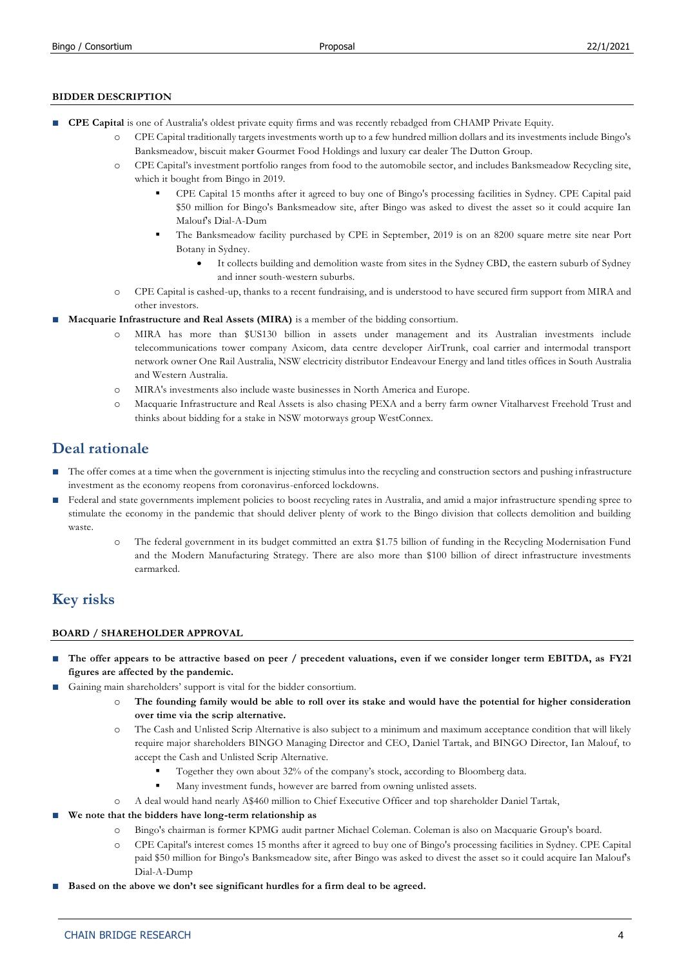### **BIDDER DESCRIPTION**

- **CPE Capital** is one of Australia's oldest private equity firms and was recently rebadged from CHAMP Private Equity.
	- o CPE Capital traditionally targets investments worth up to a few hundred million dollars and its investments include Bingo's Banksmeadow, biscuit maker Gourmet Food Holdings and luxury car dealer The Dutton Group.
	- o CPE Capital's investment portfolio ranges from food to the automobile sector, and includes Banksmeadow Recycling site, which it bought from Bingo in 2019.
		- CPE Capital 15 months after it agreed to buy one of Bingo's processing facilities in Sydney. CPE Capital paid \$50 million for Bingo's Banksmeadow site, after Bingo was asked to divest the asset so it could acquire Ian Malouf's Dial-A-Dum
		- The Banksmeadow facility purchased by CPE in September, 2019 is on an 8200 square metre site near Port Botany in Sydney.
			- It collects building and demolition waste from sites in the Sydney CBD, the eastern suburb of Sydney and inner south-western suburbs.
	- o CPE Capital is cashed-up, thanks to a recent fundraising, and is understood to have secured firm support from MIRA and other investors.
- **■ Macquarie Infrastructure and Real Assets (MIRA)** is a member of the bidding consortium.
	- o MIRA has more than \$US130 billion in assets under management and its Australian investments include telecommunications tower company Axicom, data centre developer AirTrunk, coal carrier and intermodal transport network owner One Rail Australia, NSW electricity distributor Endeavour Energy and land titles offices in South Australia and Western Australia.
	- o MIRA's investments also include waste businesses in North America and Europe.
	- o Macquarie Infrastructure and Real Assets is also chasing PEXA and a berry farm owner Vitalharvest Freehold Trust and thinks about bidding for a stake in NSW motorways group WestConnex.

# **Deal rationale**

- The offer comes at a time when the government is injecting stimulus into the recycling and construction sectors and pushing infrastructure investment as the economy reopens from coronavirus-enforced lockdowns.
- **■** Federal and state governments implement policies to boost recycling rates in Australia, and amid a major infrastructure spending spree to stimulate the economy in the pandemic that should deliver plenty of work to the Bingo division that collects demolition and building waste.
	- o The federal government in its budget committed an extra \$1.75 billion of funding in the Recycling Modernisation Fund and the Modern Manufacturing Strategy. There are also more than \$100 billion of direct infrastructure investments earmarked.

## **Key risks**

### **BOARD / SHAREHOLDER APPROVAL**

- The offer appears to be attractive based on peer / precedent valuations, even if we consider longer term EBITDA, as FY21 **figures are affected by the pandemic.**
- Gaining main shareholders' support is vital for the bidder consortium.
	- o **The founding family would be able to roll over its stake and would have the potential for higher consideration over time via the scrip alternative.**
	- o The Cash and Unlisted Scrip Alternative is also subject to a minimum and maximum acceptance condition that will likely require major shareholders BINGO Managing Director and CEO, Daniel Tartak, and BINGO Director, Ian Malouf, to accept the Cash and Unlisted Scrip Alternative.
		- Together they own about 32% of the company's stock, according to Bloomberg data.
		- Many investment funds, however are barred from owning unlisted assets.
	- o A deal would hand nearly A\$460 million to Chief Executive Officer and top shareholder Daniel Tartak,
- **■ We note that the bidders have long-term relationship as** 
	- o Bingo's chairman is former KPMG audit partner Michael Coleman. Coleman is also on Macquarie Group's board.
	- o CPE Capital's interest comes 15 months after it agreed to buy one of Bingo's processing facilities in Sydney. CPE Capital paid \$50 million for Bingo's Banksmeadow site, after Bingo was asked to divest the asset so it could acquire Ian Malouf's Dial-A-Dump
- Based on the above we don't see significant hurdles for a firm deal to be agreed.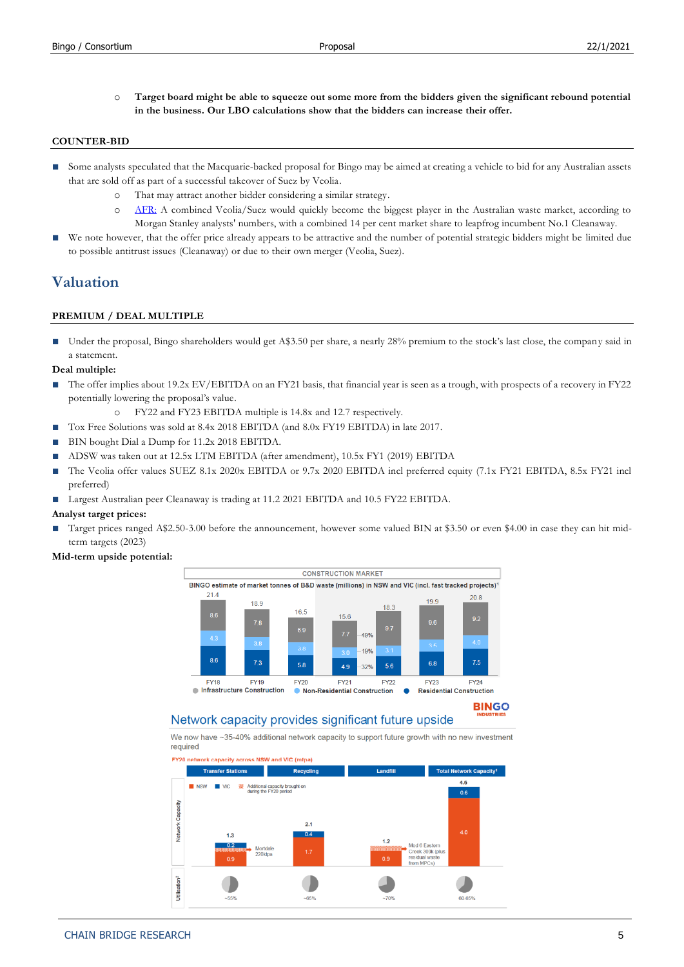o **Target board might be able to squeeze out some more from the bidders given the significant rebound potential in the business. Our LBO calculations show that the bidders can increase their offer.**

#### **COUNTER-BID**

- Some analysts speculated that the Macquarie-backed proposal for Bingo may be aimed at creating a vehicle to bid for any Australian assets that are sold off as part of a successful takeover of Suez by Veolia.
	- o That may attract another bidder considering a similar strategy.
	- o [AFR:](https://www.afr.com/street-talk/one-deal-s-trash-waste-players-eye-veolia-suez-assets-20201031-p56adc) A combined Veolia/Suez would quickly become the biggest player in the Australian waste market, according to Morgan Stanley analysts' numbers, with a combined 14 per cent market share to leapfrog incumbent No.1 Cleanaway.
- We note however, that the offer price already appears to be attractive and the number of potential strategic bidders might be limited due to possible antitrust issues (Cleanaway) or due to their own merger (Veolia, Suez).

### **Valuation**

#### **PREMIUM / DEAL MULTIPLE**

■ Under the proposal, Bingo shareholders would get A\$3.50 per share, a nearly 28% premium to the stock's last close, the company said in a statement.

#### **Deal multiple:**

- The offer implies about 19.2x EV/EBITDA on an FY21 basis, that financial year is seen as a trough, with prospects of a recovery in FY22 potentially lowering the proposal's value.
	- o FY22 and FY23 EBITDA multiple is 14.8x and 12.7 respectively.
- Tox Free Solutions was sold at 8.4x 2018 EBITDA (and 8.0x FY19 EBITDA) in late 2017.
- BIN bought Dial a Dump for 11.2x 2018 EBITDA.
- ADSW was taken out at 12.5x LTM EBITDA (after amendment), 10.5x FY1 (2019) EBITDA
- The Veolia offer values SUEZ 8.1x 2020x EBITDA or 9.7x 2020 EBITDA incl preferred equity (7.1x FY21 EBITDA, 8.5x FY21 incl preferred)
- Largest Australian peer Cleanaway is trading at 11.2 2021 EBITDA and 10.5 FY22 EBITDA.

#### **Analyst target prices:**

Target prices ranged A\$2.50-3.00 before the announcement, however some valued BIN at \$3.50 or even \$4.00 in case they can hit midterm targets (2023)

#### **Mid-term upside potential:**



### Network capacity provides significant future upside

We now have ~35-40% additional network capacity to support future growth with no new investment required



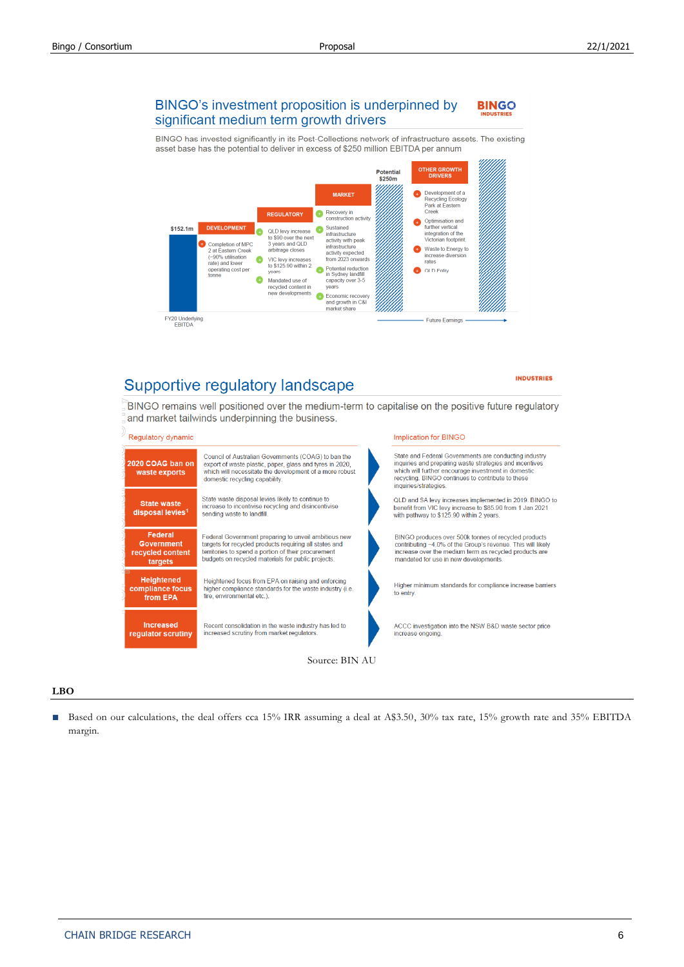#### BINGO's investment proposition is underpinned by **BINGO** significant medium term growth drivers

BINGO has invested significantly in its Post-Collections network of infrastructure assets. The existing asset base has the potential to deliver in excess of \$250 million EBITDA per annum



# Supportive regulatory landscape

#### **INDUSTRIES**

BINGO remains well positioned over the medium-term to capitalise on the positive future regulatory and market tailwinds underpinning the business.



### **LBO**

■ Based on our calculations, the deal offers cca 15% IRR assuming a deal at A\$3.50, 30% tax rate, 15% growth rate and 35% EBITDA margin.